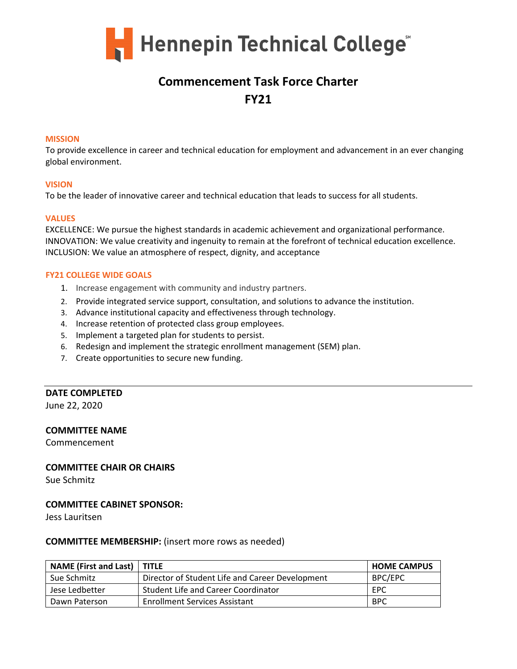

# **Commencement Task Force Charter FY21**

#### **MISSION**

To provide excellence in career and technical education for employment and advancement in an ever changing global environment.

#### **VISION**

To be the leader of innovative career and technical education that leads to success for all students.

#### **VALUES**

EXCELLENCE: We pursue the highest standards in academic achievement and organizational performance. INNOVATION: We value creativity and ingenuity to remain at the forefront of technical education excellence. INCLUSION: We value an atmosphere of respect, dignity, and acceptance

#### **FY21 COLLEGE WIDE GOALS**

- 1. Increase engagement with community and industry partners.
- 2. Provide integrated service support, consultation, and solutions to advance the institution.
- 3. Advance institutional capacity and effectiveness through technology.
- 4. Increase retention of protected class group employees.
- 5. Implement a targeted plan for students to persist.
- 6. Redesign and implement the strategic enrollment management (SEM) plan.
- 7. Create opportunities to secure new funding.

#### **DATE COMPLETED**

June 22, 2020

#### **COMMITTEE NAME**

Commencement

### **COMMITTEE CHAIR OR CHAIRS**

Sue Schmitz

#### **COMMITTEE CABINET SPONSOR:**

Jess Lauritsen

#### **COMMITTEE MEMBERSHIP:** (insert more rows as needed)

| NAME (First and Last)   TITLE |                                                 | <b>HOME CAMPUS</b> |
|-------------------------------|-------------------------------------------------|--------------------|
| Sue Schmitz                   | Director of Student Life and Career Development | BPC/EPC            |
| Jese Ledbetter                | Student Life and Career Coordinator             | EPC                |
| Dawn Paterson                 | <b>Enrollment Services Assistant</b>            | <b>BPC</b>         |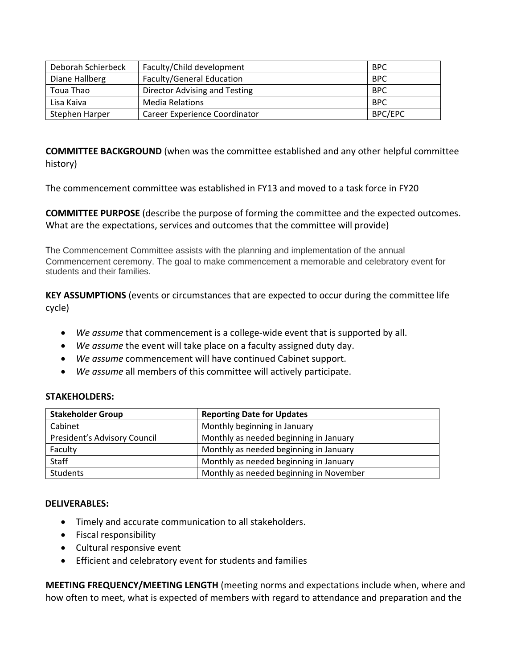| Deborah Schierbeck | Faculty/Child development        | <b>BPC</b>     |
|--------------------|----------------------------------|----------------|
| Diane Hallberg     | <b>Faculty/General Education</b> | <b>BPC</b>     |
| Toua Thao          | Director Advising and Testing    | <b>BPC</b>     |
| Lisa Kaiva         | <b>Media Relations</b>           | <b>BPC</b>     |
| Stephen Harper     | Career Experience Coordinator    | <b>BPC/EPC</b> |

**COMMITTEE BACKGROUND** (when was the committee established and any other helpful committee history)

The commencement committee was established in FY13 and moved to a task force in FY20

**COMMITTEE PURPOSE** (describe the purpose of forming the committee and the expected outcomes. What are the expectations, services and outcomes that the committee will provide)

The Commencement Committee assists with the planning and implementation of the annual Commencement ceremony. The goal to make commencement a memorable and celebratory event for students and their families.

**KEY ASSUMPTIONS** (events or circumstances that are expected to occur during the committee life cycle)

- *We assume* that commencement is a college-wide event that is supported by all.
- *We assume* the event will take place on a faculty assigned duty day.
- *We assume* commencement will have continued Cabinet support.
- *We assume* all members of this committee will actively participate.

### **STAKEHOLDERS:**

| <b>Stakeholder Group</b>     | <b>Reporting Date for Updates</b>       |  |
|------------------------------|-----------------------------------------|--|
| Cabinet                      | Monthly beginning in January            |  |
| President's Advisory Council | Monthly as needed beginning in January  |  |
| Faculty                      | Monthly as needed beginning in January  |  |
| Staff                        | Monthly as needed beginning in January  |  |
| <b>Students</b>              | Monthly as needed beginning in November |  |

## **DELIVERABLES:**

- Timely and accurate communication to all stakeholders.
- Fiscal responsibility
- Cultural responsive event
- Efficient and celebratory event for students and families

**MEETING FREQUENCY/MEETING LENGTH** (meeting norms and expectations include when, where and how often to meet, what is expected of members with regard to attendance and preparation and the